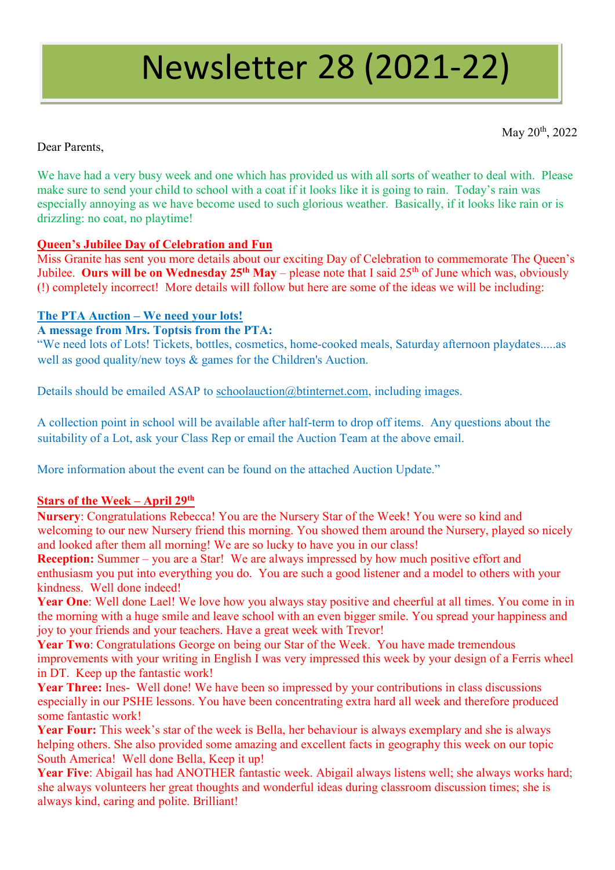# Newsletter 28 (2021-22)

May 20<sup>th</sup>, 2022

# Dear Parents,

We have had a very busy week and one which has provided us with all sorts of weather to deal with. Please make sure to send your child to school with a coat if it looks like it is going to rain. Today's rain was especially annoying as we have become used to such glorious weather. Basically, if it looks like rain or is drizzling: no coat, no playtime!

# **Queen's Jubilee Day of Celebration and Fun**

Miss Granite has sent you more details about our exciting Day of Celebration to commemorate The Queen's Jubilee. **Ours will be on Wednesday 25th May** – please note that I said 25th of June which was, obviously (!) completely incorrect! More details will follow but here are some of the ideas we will be including:

# **The PTA Auction – We need your lots!**

## **A message from Mrs. Toptsis from the PTA:**

"We need lots of Lots! Tickets, bottles, cosmetics, home-cooked meals, Saturday afternoon playdates.....as well as good quality/new toys & games for the Children's Auction.

Details should be emailed ASAP to [schoolauction@btinternet.com,](mailto:schoolauction@btinternet.com) including images.

A collection point in school will be available after half-term to drop off items. Any questions about the suitability of a Lot, ask your Class Rep or email the Auction Team at the above email.

More information about the event can be found on the attached Auction Update."

## **Stars of the Week – April 29th**

**Nursery**: Congratulations Rebecca! You are the Nursery Star of the Week! You were so kind and welcoming to our new Nursery friend this morning. You showed them around the Nursery, played so nicely and looked after them all morning! We are so lucky to have you in our class!

**Reception:** Summer – you are a Star! We are always impressed by how much positive effort and enthusiasm you put into everything you do. You are such a good listener and a model to others with your kindness. Well done indeed!

Year One: Well done Lael! We love how you always stay positive and cheerful at all times. You come in in the morning with a huge smile and leave school with an even bigger smile. You spread your happiness and joy to your friends and your teachers. Have a great week with Trevor!

Year Two: Congratulations George on being our Star of the Week. You have made tremendous improvements with your writing in English I was very impressed this week by your design of a Ferris wheel in DT. Keep up the fantastic work!

Year Three: Ines- Well done! We have been so impressed by your contributions in class discussions especially in our PSHE lessons. You have been concentrating extra hard all week and therefore produced some fantastic work!

**Year Four:** This week's star of the week is Bella, her behaviour is always exemplary and she is always helping others. She also provided some amazing and excellent facts in geography this week on our topic South America! Well done Bella, Keep it up!

**Year Five**: Abigail has had ANOTHER fantastic week. Abigail always listens well; she always works hard; she always volunteers her great thoughts and wonderful ideas during classroom discussion times; she is always kind, caring and polite. Brilliant!